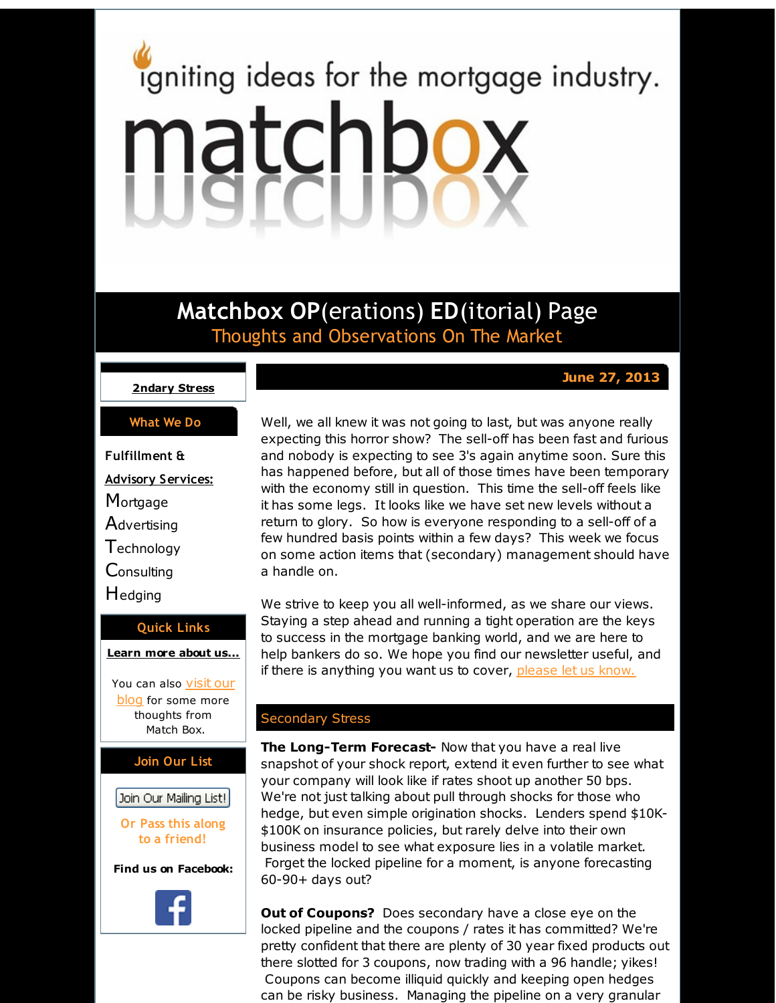# <span id="page-0-0"></span>igniting ideas for the mortgage industry. matchbox

**Matchbox OP**(erations) **ED**(itorial) Page Thoughts and Observations On The Market

## **June 27, 2013**

#### **[2ndary](#page-0-0) Stress**

#### **What We Do**

**Fulfillment & Advisory Services: Mortgage Advertising Technology Consulting H**edging

#### **Quick Links**

**[Learn](http://r20.rs6.net/tn.jsp?f=001vKiz3BvDsq2Z19jr7KP6wGR5uXMcw_ROem6BxKYL4T6hsAVwmyRhKzKxs-GzvUKdecof4OWJdSoB02eLovMRAEv0f1spanFFDgLFAzpF5kiupWA921ckkEPN9tjLcjA-OdYHFtw41tPcv1B4LHUmFGnKGw2Jf2vzRWI5hfU5c2ybnzHKpRuJtA==&c=&ch=) more about u[s...](http://r20.rs6.net/tn.jsp?f=001vKiz3BvDsq2Z19jr7KP6wGR5uXMcw_ROem6BxKYL4T6hsAVwmyRhKzKxs-GzvUKdecof4OWJdSoB02eLovMRAEv0f1spanFFDgLFAzpF5kiupWA921ckkEPN9tjLcjA-OdYHFtw41tPcv1B4LHUmFGnKGw2Jf2vzRWI5hfU5c2ybnzHKpRuJtA==&c=&ch=)**

You can also **visit our [blog](http://r20.rs6.net/tn.jsp?f=001vKiz3BvDsq2Z19jr7KP6wGR5uXMcw_ROem6BxKYL4T6hsAVwmyRhK_hJ_S-GBHJv-wDVb-rVLGrvhnZoNDjbUrhKdcgCTzsrAEJCe9ZvpRJqmu0-V0MM3exVF8f3PDOisURB8h08K_DRS55n1WdVxjZtjc_hEGxXwsMicLj3ZokURLSamIaAEOFiA47Iu7kO&c=&ch=)** for some more thoughts from Match Box.

## **Join Our List**

# Join Our Mailing List!

**Or Pass this along to a friend!**

**Find us on Facebook:**



Well, we all knew it was not going to last, but was anyone really expecting this horror show? The sell-off has been fast and furious and nobody is expecting to see 3's again anytime soon. Sure this has happened before, but all of those times have been temporary with the economy still in question. This time the sell-off feels like it has some legs. It looks like we have set new levels without a return to glory. So how is everyone responding to a sell-off of a few hundred basis points within a few days? This week we focus on some action items that (secondary) management should have a handle on.

We strive to keep you all well-informed, as we share our views. Staying a step ahead and running a tight operation are the keys to success in the mortgage banking world, and we are here to help bankers do so. We hope you find our newsletter useful, and if there is anything you want us to cover, [please](http://r20.rs6.net/tn.jsp?f=001vKiz3BvDsq2Z19jr7KP6wGR5uXMcw_ROem6BxKYL4T6hsAVwmyRhK_hJ_S-GBHJv9eVR3LdeH1HXS3PJJj7lNFMgYkeIlPoaUTndTuRXurPKJQkBqv-24BgNGjm0kkEmyuAGIoP0b7iT0GWeJNZONlav8UOGvH3pzrzoQSjOv-XRVw5RSM9QA9VrLtFSsllO&c=&ch=) let us know.

## Secondary Stress

**The Long-Term Forecast-** Now that you have a real live snapshot of your shock report, extend it even further to see what your company will look like if rates shoot up another 50 bps. We're not just talking about pull through shocks for those who hedge, but even simple origination shocks. Lenders spend \$10K- \$100K on insurance policies, but rarely delve into their own business model to see what exposure lies in a volatile market. Forget the locked pipeline for a moment, is anyone forecasting 60-90+ days out?

**Out of Coupons?** Does secondary have a close eye on the locked pipeline and the coupons / rates it has committed? We're pretty confident that there are plenty of 30 year fixed products out there slotted for 3 coupons, now trading with a 96 handle; yikes! Coupons can become illiquid quickly and keeping open hedges can be risky business. Managing the pipeline on a very granular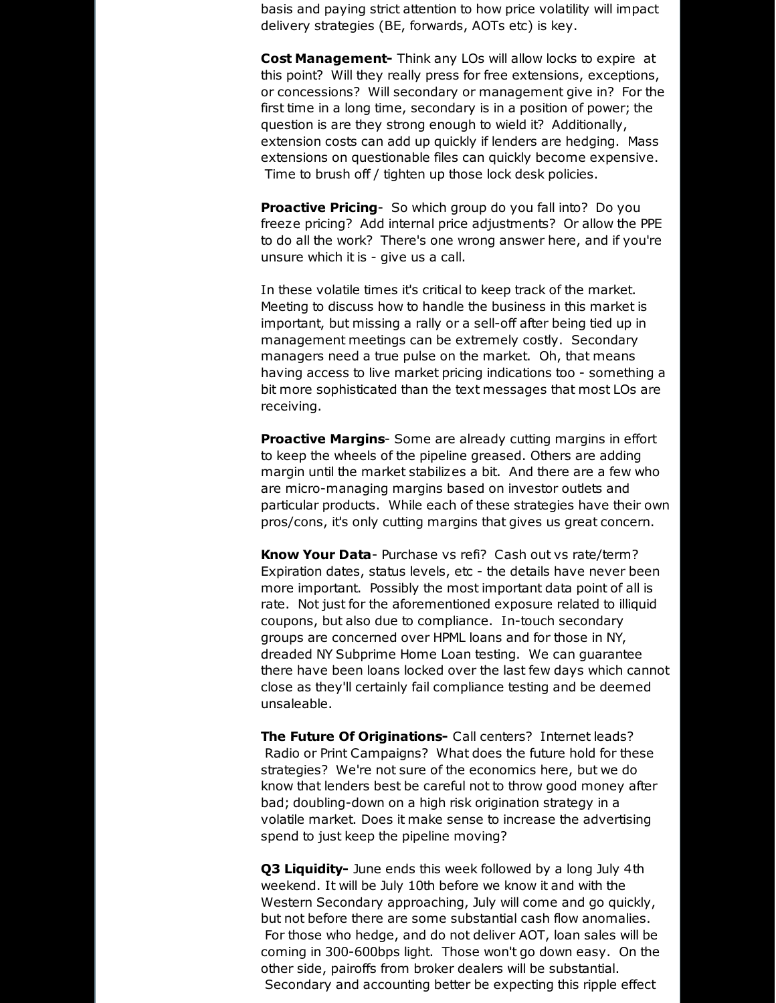basis and paying strict attention to how price volatility will impact delivery strategies (BE, forwards, AOTs etc) is key.

**Cost Management-** Think any LOs will allow locks to expire at this point? Will they really press for free extensions, exceptions, or concessions? Will secondary or management give in? For the first time in a long time, secondary is in a position of power; the question is are they strong enough to wield it? Additionally, extension costs can add up quickly if lenders are hedging. Mass extensions on questionable files can quickly become expensive. Time to brush off / tighten up those lock desk policies.

**Proactive Pricing**- So which group do you fall into? Do you freeze pricing? Add internal price adjustments? Or allow the PPE to do all the work? There's one wrong answer here, and if you're unsure which it is - give us a call.

In these volatile times it's critical to keep track of the market. Meeting to discuss how to handle the business in this market is important, but missing a rally or a sell-off after being tied up in management meetings can be extremely costly. Secondary managers need a true pulse on the market. Oh, that means having access to live market pricing indications too - something a bit more sophisticated than the text messages that most LOs are receiving.

**Proactive Margins**- Some are already cutting margins in effort to keep the wheels of the pipeline greased. Others are adding margin until the market stabilizes a bit. And there are a few who are micro-managing margins based on investor outlets and particular products. While each of these strategies have their own pros/cons, it's only cutting margins that gives us great concern.

**Know Your Data**- Purchase vs refi? Cash out vs rate/term? Expiration dates, status levels, etc - the details have never been more important. Possibly the most important data point of all is rate. Not just for the aforementioned exposure related to illiquid coupons, but also due to compliance. In-touch secondary groups are concerned over HPML loans and for those in NY, dreaded NY Subprime Home Loan testing. We can guarantee there have been loans locked over the last few days which cannot close as they'll certainly fail compliance testing and be deemed unsaleable.

**The Future Of Originations-** Call centers? Internet leads? Radio or Print Campaigns? What does the future hold for these strategies? We're not sure of the economics here, but we do know that lenders best be careful not to throw good money after bad; doubling-down on a high risk origination strategy in a volatile market. Does it make sense to increase the advertising spend to just keep the pipeline moving?

**Q3 Liquidity-** June ends this week followed by a long July 4th weekend. It will be July 10th before we know it and with the Western Secondary approaching, July will come and go quickly, but not before there are some substantial cash flow anomalies. For those who hedge, and do not deliver AOT, loan sales will be coming in 300-600bps light. Those won't go down easy. On the other side, pairoffs from broker dealers will be substantial. Secondary and accounting better be expecting this ripple effect